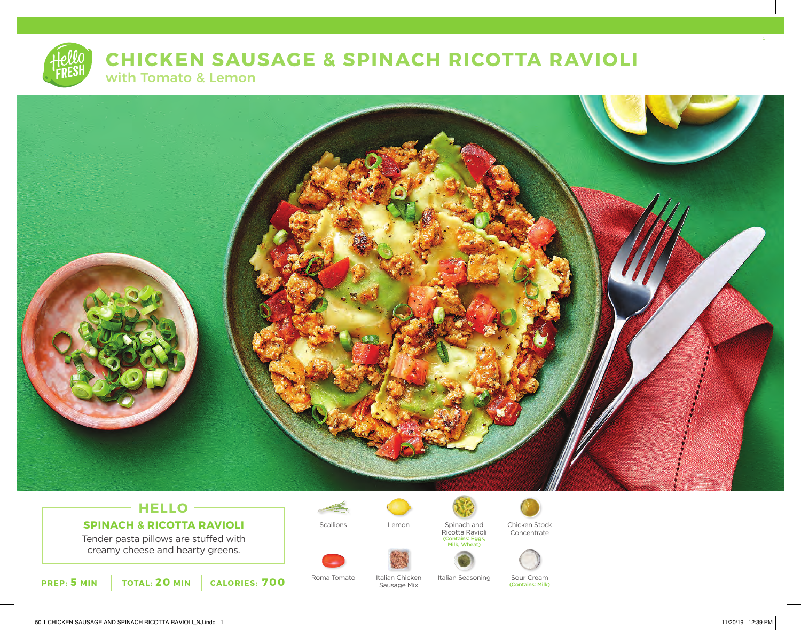# **CHICKEN SAUSAGE & SPINACH RICOTTA RAVIOLI**

with Tomato & Lemon



## **SPINACH & RICOTTA RAVIOLI**

Tender pasta pillows are stuffed with creamy cheese and hearty greens.



Roma Tomato Italian Chicken Italian Seasoning Sour Cream

Italian Chicken Sausage Mix

Lemon

Spinach and Ricotta Ravioli

(Contains: Eggs, Milk, Wheat)

Scallions Lemon Spinach and Chicken Stock Concentrate



(Contains: Milk)

1